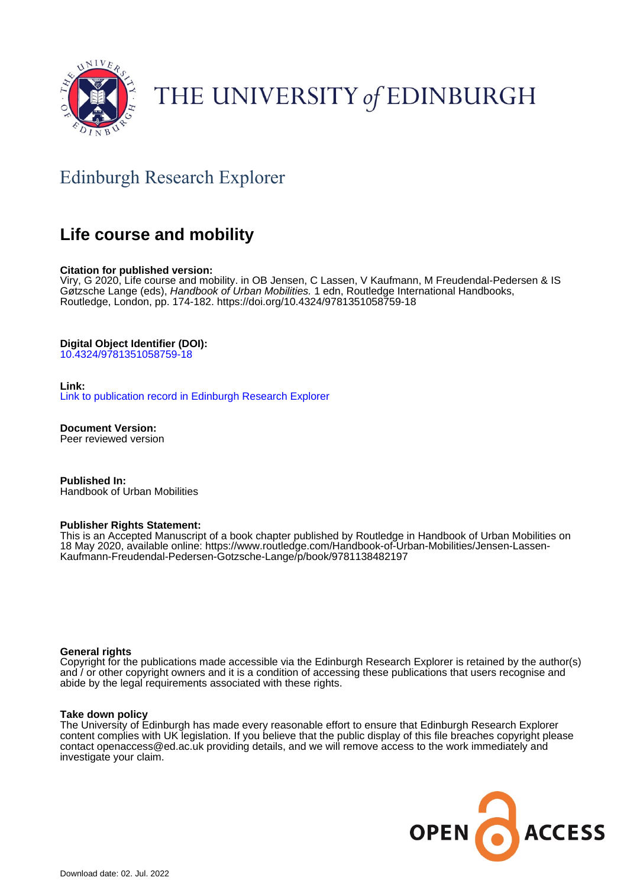

# THE UNIVERSITY of EDINBURGH

## Edinburgh Research Explorer

## **Life course and mobility**

#### **Citation for published version:**

Viry, G 2020, Life course and mobility. in OB Jensen, C Lassen, V Kaufmann, M Freudendal-Pedersen & IS Gøtzsche Lange (eds), Handbook of Urban Mobilities. 1 edn, Routledge International Handbooks, Routledge, London, pp. 174-182. <https://doi.org/10.4324/9781351058759-18>

#### **Digital Object Identifier (DOI):**

[10.4324/9781351058759-18](https://doi.org/10.4324/9781351058759-18)

#### **Link:**

[Link to publication record in Edinburgh Research Explorer](https://www.research.ed.ac.uk/en/publications/11b33cc8-bfca-4ea7-b90f-85a09625535f)

**Document Version:** Peer reviewed version

**Published In:** Handbook of Urban Mobilities

#### **Publisher Rights Statement:**

This is an Accepted Manuscript of a book chapter published by Routledge in Handbook of Urban Mobilities on 18 May 2020, available online: https://www.routledge.com/Handbook-of-Urban-Mobilities/Jensen-Lassen-Kaufmann-Freudendal-Pedersen-Gotzsche-Lange/p/book/9781138482197

#### **General rights**

Copyright for the publications made accessible via the Edinburgh Research Explorer is retained by the author(s) and / or other copyright owners and it is a condition of accessing these publications that users recognise and abide by the legal requirements associated with these rights.

#### **Take down policy**

The University of Edinburgh has made every reasonable effort to ensure that Edinburgh Research Explorer content complies with UK legislation. If you believe that the public display of this file breaches copyright please contact openaccess@ed.ac.uk providing details, and we will remove access to the work immediately and investigate your claim.

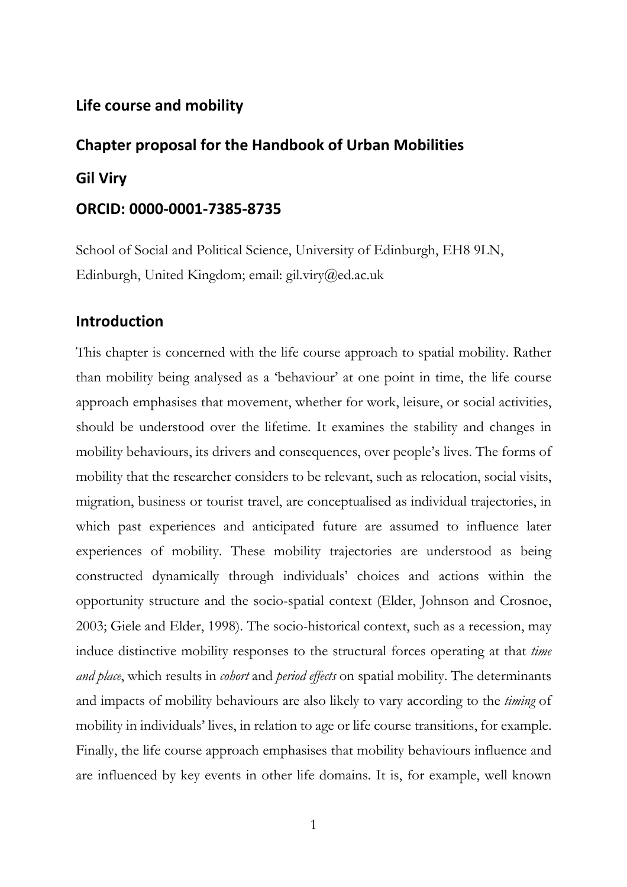### **Life course and mobility**

# **Chapter proposal for the Handbook of Urban Mobilities Gil Viry ORCID: 0000‐0001‐7385‐8735**

School of Social and Political Science, University of Edinburgh, EH8 9LN, Edinburgh, United Kingdom; email: gil.viry@ed.ac.uk

### **Introduction**

This chapter is concerned with the life course approach to spatial mobility. Rather than mobility being analysed as a 'behaviour' at one point in time, the life course approach emphasises that movement, whether for work, leisure, or social activities, should be understood over the lifetime. It examines the stability and changes in mobility behaviours, its drivers and consequences, over people's lives. The forms of mobility that the researcher considers to be relevant, such as relocation, social visits, migration, business or tourist travel, are conceptualised as individual trajectories, in which past experiences and anticipated future are assumed to influence later experiences of mobility. These mobility trajectories are understood as being constructed dynamically through individuals' choices and actions within the opportunity structure and the socio-spatial context (Elder, Johnson and Crosnoe, 2003; Giele and Elder, 1998). The socio-historical context, such as a recession, may induce distinctive mobility responses to the structural forces operating at that *time and place*, which results in *cohort* and *period effects* on spatial mobility. The determinants and impacts of mobility behaviours are also likely to vary according to the *timing* of mobility in individuals' lives, in relation to age or life course transitions, for example. Finally, the life course approach emphasises that mobility behaviours influence and are influenced by key events in other life domains. It is, for example, well known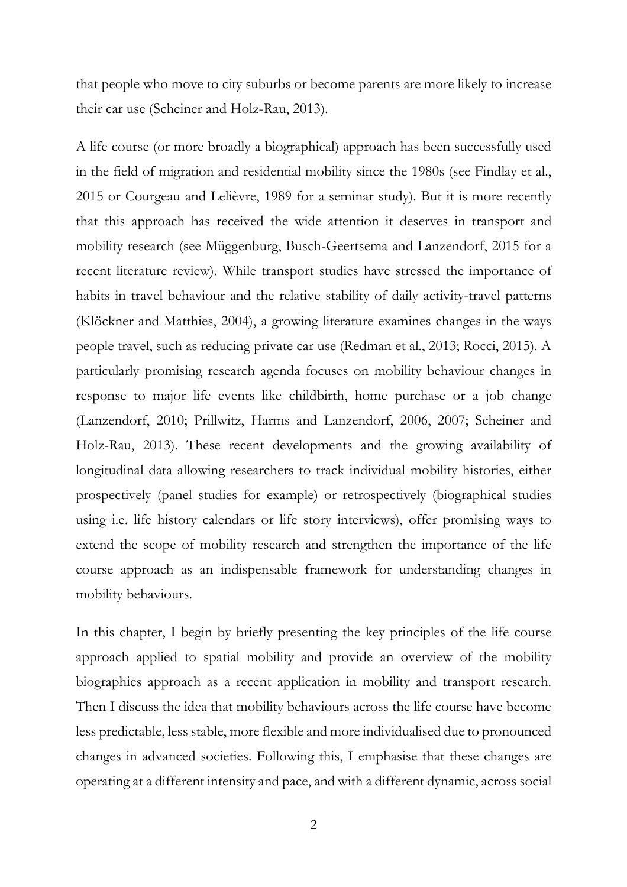that people who move to city suburbs or become parents are more likely to increase their car use (Scheiner and Holz-Rau, 2013).

A life course (or more broadly a biographical) approach has been successfully used in the field of migration and residential mobility since the 1980s (see Findlay et al., 2015 or Courgeau and Lelièvre, 1989 for a seminar study). But it is more recently that this approach has received the wide attention it deserves in transport and mobility research (see Müggenburg, Busch-Geertsema and Lanzendorf, 2015 for a recent literature review). While transport studies have stressed the importance of habits in travel behaviour and the relative stability of daily activity-travel patterns (Klöckner and Matthies, 2004), a growing literature examines changes in the ways people travel, such as reducing private car use (Redman et al., 2013; Rocci, 2015). A particularly promising research agenda focuses on mobility behaviour changes in response to major life events like childbirth, home purchase or a job change (Lanzendorf, 2010; Prillwitz, Harms and Lanzendorf, 2006, 2007; Scheiner and Holz-Rau, 2013). These recent developments and the growing availability of longitudinal data allowing researchers to track individual mobility histories, either prospectively (panel studies for example) or retrospectively (biographical studies using i.e. life history calendars or life story interviews), offer promising ways to extend the scope of mobility research and strengthen the importance of the life course approach as an indispensable framework for understanding changes in mobility behaviours.

In this chapter, I begin by briefly presenting the key principles of the life course approach applied to spatial mobility and provide an overview of the mobility biographies approach as a recent application in mobility and transport research. Then I discuss the idea that mobility behaviours across the life course have become less predictable, less stable, more flexible and more individualised due to pronounced changes in advanced societies. Following this, I emphasise that these changes are operating at a different intensity and pace, and with a different dynamic, across social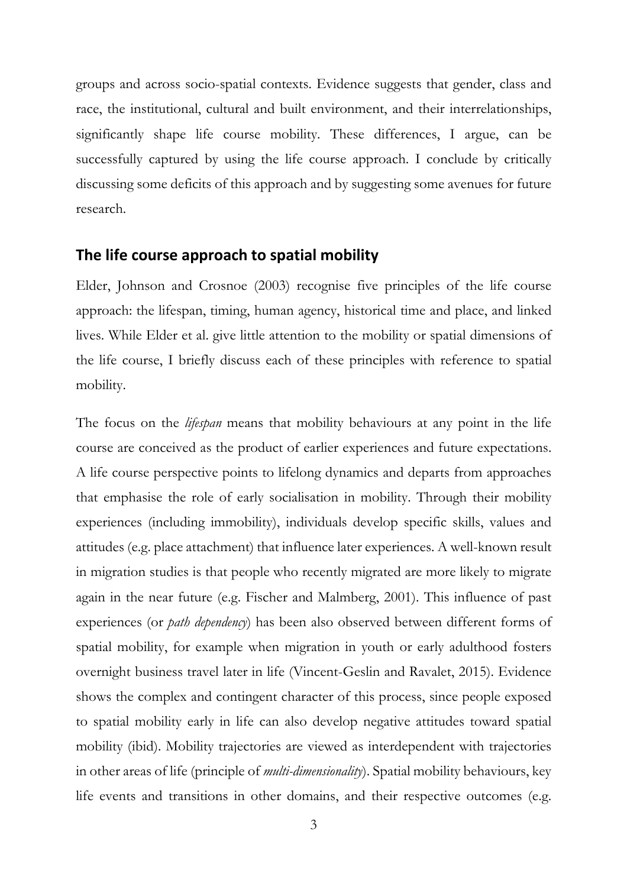groups and across socio-spatial contexts. Evidence suggests that gender, class and race, the institutional, cultural and built environment, and their interrelationships, significantly shape life course mobility. These differences, I argue, can be successfully captured by using the life course approach. I conclude by critically discussing some deficits of this approach and by suggesting some avenues for future research.

#### **The life course approach to spatial mobility**

Elder, Johnson and Crosnoe (2003) recognise five principles of the life course approach: the lifespan, timing, human agency, historical time and place, and linked lives. While Elder et al. give little attention to the mobility or spatial dimensions of the life course, I briefly discuss each of these principles with reference to spatial mobility.

The focus on the *lifespan* means that mobility behaviours at any point in the life course are conceived as the product of earlier experiences and future expectations. A life course perspective points to lifelong dynamics and departs from approaches that emphasise the role of early socialisation in mobility. Through their mobility experiences (including immobility), individuals develop specific skills, values and attitudes (e.g. place attachment) that influence later experiences. A well-known result in migration studies is that people who recently migrated are more likely to migrate again in the near future (e.g. Fischer and Malmberg, 2001). This influence of past experiences (or *path dependency*) has been also observed between different forms of spatial mobility, for example when migration in youth or early adulthood fosters overnight business travel later in life (Vincent-Geslin and Ravalet, 2015). Evidence shows the complex and contingent character of this process, since people exposed to spatial mobility early in life can also develop negative attitudes toward spatial mobility (ibid). Mobility trajectories are viewed as interdependent with trajectories in other areas of life (principle of *multi-dimensionality*). Spatial mobility behaviours, key life events and transitions in other domains, and their respective outcomes (e.g.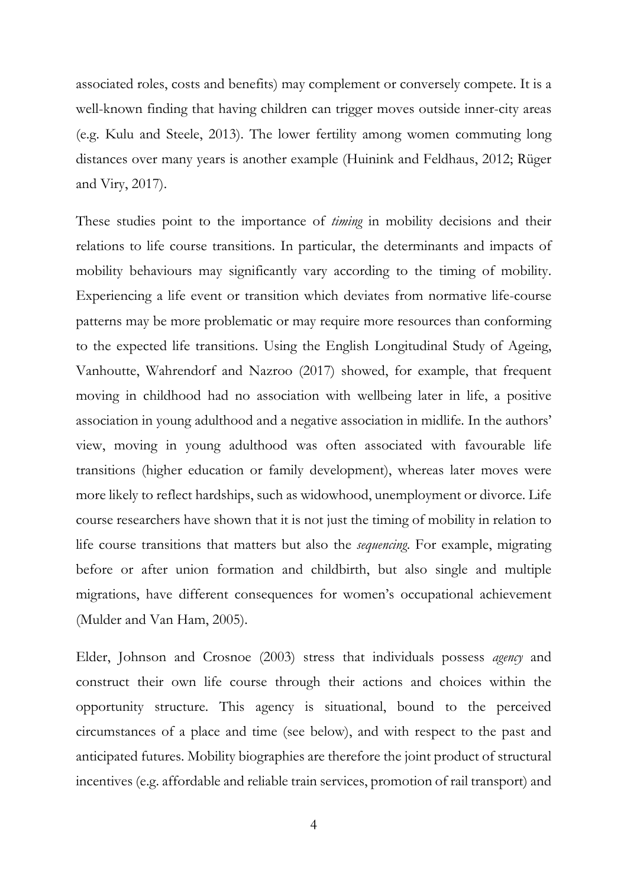associated roles, costs and benefits) may complement or conversely compete. It is a well-known finding that having children can trigger moves outside inner-city areas (e.g. Kulu and Steele, 2013). The lower fertility among women commuting long distances over many years is another example (Huinink and Feldhaus, 2012; Rüger and Viry, 2017).

These studies point to the importance of *timing* in mobility decisions and their relations to life course transitions. In particular, the determinants and impacts of mobility behaviours may significantly vary according to the timing of mobility. Experiencing a life event or transition which deviates from normative life-course patterns may be more problematic or may require more resources than conforming to the expected life transitions. Using the English Longitudinal Study of Ageing, Vanhoutte, Wahrendorf and Nazroo (2017) showed, for example, that frequent moving in childhood had no association with wellbeing later in life, a positive association in young adulthood and a negative association in midlife. In the authors' view, moving in young adulthood was often associated with favourable life transitions (higher education or family development), whereas later moves were more likely to reflect hardships, such as widowhood, unemployment or divorce. Life course researchers have shown that it is not just the timing of mobility in relation to life course transitions that matters but also the *sequencing*. For example, migrating before or after union formation and childbirth, but also single and multiple migrations, have different consequences for women's occupational achievement (Mulder and Van Ham, 2005).

Elder, Johnson and Crosnoe (2003) stress that individuals possess *agency* and construct their own life course through their actions and choices within the opportunity structure. This agency is situational, bound to the perceived circumstances of a place and time (see below), and with respect to the past and anticipated futures. Mobility biographies are therefore the joint product of structural incentives (e.g. affordable and reliable train services, promotion of rail transport) and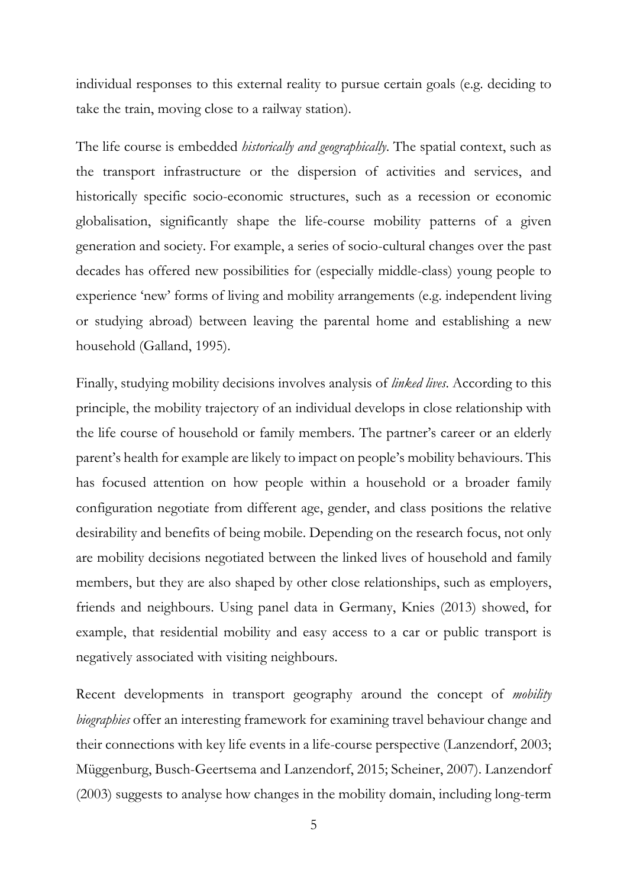individual responses to this external reality to pursue certain goals (e.g. deciding to take the train, moving close to a railway station).

The life course is embedded *historically and geographically*. The spatial context, such as the transport infrastructure or the dispersion of activities and services, and historically specific socio-economic structures, such as a recession or economic globalisation, significantly shape the life-course mobility patterns of a given generation and society. For example, a series of socio-cultural changes over the past decades has offered new possibilities for (especially middle-class) young people to experience 'new' forms of living and mobility arrangements (e.g. independent living or studying abroad) between leaving the parental home and establishing a new household (Galland, 1995).

Finally, studying mobility decisions involves analysis of *linked lives*. According to this principle, the mobility trajectory of an individual develops in close relationship with the life course of household or family members. The partner's career or an elderly parent's health for example are likely to impact on people's mobility behaviours. This has focused attention on how people within a household or a broader family configuration negotiate from different age, gender, and class positions the relative desirability and benefits of being mobile. Depending on the research focus, not only are mobility decisions negotiated between the linked lives of household and family members, but they are also shaped by other close relationships, such as employers, friends and neighbours. Using panel data in Germany, Knies (2013) showed, for example, that residential mobility and easy access to a car or public transport is negatively associated with visiting neighbours.

Recent developments in transport geography around the concept of *mobility biographies* offer an interesting framework for examining travel behaviour change and their connections with key life events in a life-course perspective (Lanzendorf, 2003; Müggenburg, Busch-Geertsema and Lanzendorf, 2015; Scheiner, 2007). Lanzendorf (2003) suggests to analyse how changes in the mobility domain, including long-term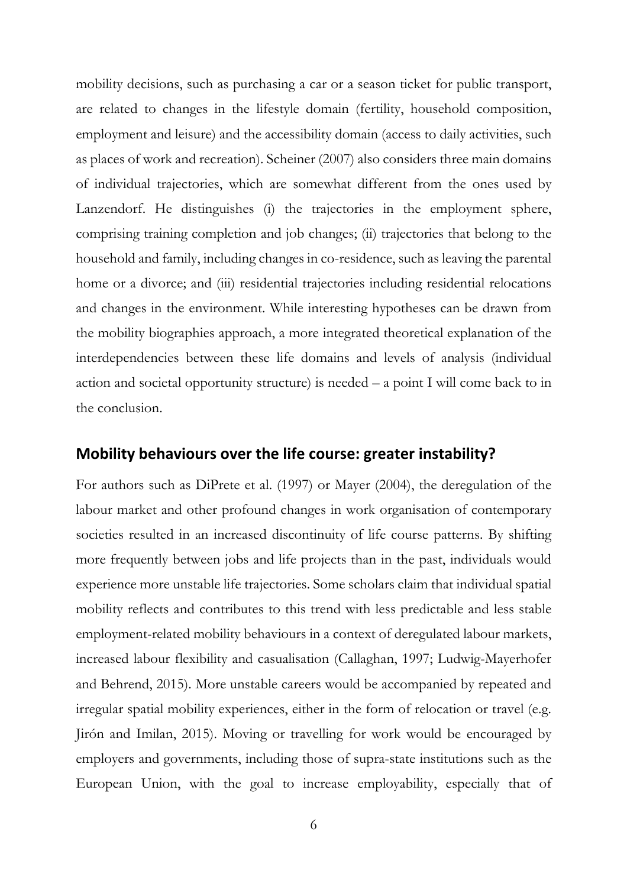mobility decisions, such as purchasing a car or a season ticket for public transport, are related to changes in the lifestyle domain (fertility, household composition, employment and leisure) and the accessibility domain (access to daily activities, such as places of work and recreation). Scheiner (2007) also considers three main domains of individual trajectories, which are somewhat different from the ones used by Lanzendorf. He distinguishes (i) the trajectories in the employment sphere, comprising training completion and job changes; (ii) trajectories that belong to the household and family, including changes in co-residence, such as leaving the parental home or a divorce; and (iii) residential trajectories including residential relocations and changes in the environment. While interesting hypotheses can be drawn from the mobility biographies approach, a more integrated theoretical explanation of the interdependencies between these life domains and levels of analysis (individual action and societal opportunity structure) is needed – a point I will come back to in the conclusion.

### **Mobility behaviours over the life course: greater instability?**

For authors such as DiPrete et al. (1997) or Mayer (2004), the deregulation of the labour market and other profound changes in work organisation of contemporary societies resulted in an increased discontinuity of life course patterns. By shifting more frequently between jobs and life projects than in the past, individuals would experience more unstable life trajectories. Some scholars claim that individual spatial mobility reflects and contributes to this trend with less predictable and less stable employment-related mobility behaviours in a context of deregulated labour markets, increased labour flexibility and casualisation (Callaghan, 1997; Ludwig-Mayerhofer and Behrend, 2015). More unstable careers would be accompanied by repeated and irregular spatial mobility experiences, either in the form of relocation or travel (e.g. Jirón and Imilan, 2015). Moving or travelling for work would be encouraged by employers and governments, including those of supra-state institutions such as the European Union, with the goal to increase employability, especially that of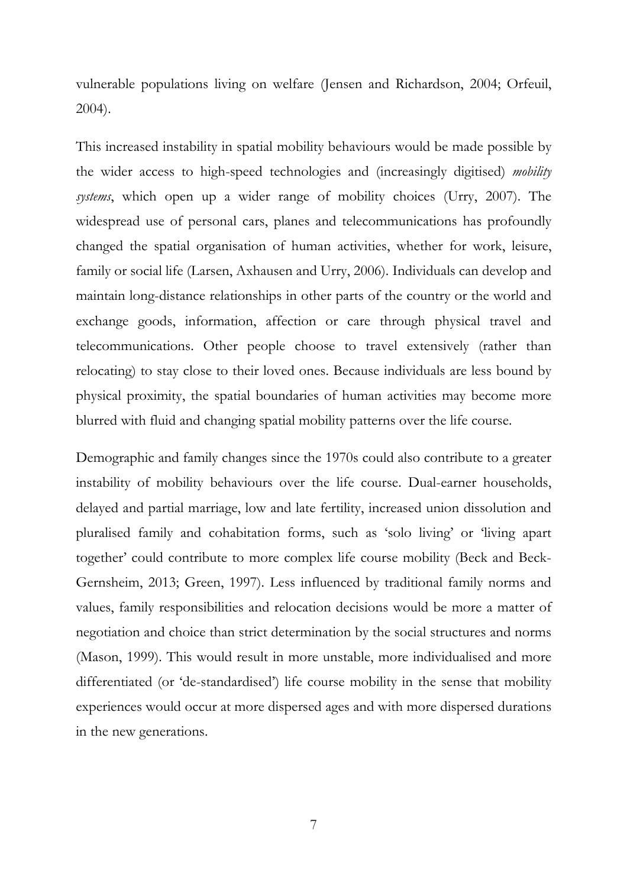vulnerable populations living on welfare (Jensen and Richardson, 2004; Orfeuil, 2004).

This increased instability in spatial mobility behaviours would be made possible by the wider access to high-speed technologies and (increasingly digitised) *mobility systems*, which open up a wider range of mobility choices (Urry, 2007). The widespread use of personal cars, planes and telecommunications has profoundly changed the spatial organisation of human activities, whether for work, leisure, family or social life (Larsen, Axhausen and Urry, 2006). Individuals can develop and maintain long-distance relationships in other parts of the country or the world and exchange goods, information, affection or care through physical travel and telecommunications. Other people choose to travel extensively (rather than relocating) to stay close to their loved ones. Because individuals are less bound by physical proximity, the spatial boundaries of human activities may become more blurred with fluid and changing spatial mobility patterns over the life course.

Demographic and family changes since the 1970s could also contribute to a greater instability of mobility behaviours over the life course. Dual-earner households, delayed and partial marriage, low and late fertility, increased union dissolution and pluralised family and cohabitation forms, such as 'solo living' or 'living apart together' could contribute to more complex life course mobility (Beck and Beck-Gernsheim, 2013; Green, 1997). Less influenced by traditional family norms and values, family responsibilities and relocation decisions would be more a matter of negotiation and choice than strict determination by the social structures and norms (Mason, 1999). This would result in more unstable, more individualised and more differentiated (or 'de-standardised') life course mobility in the sense that mobility experiences would occur at more dispersed ages and with more dispersed durations in the new generations.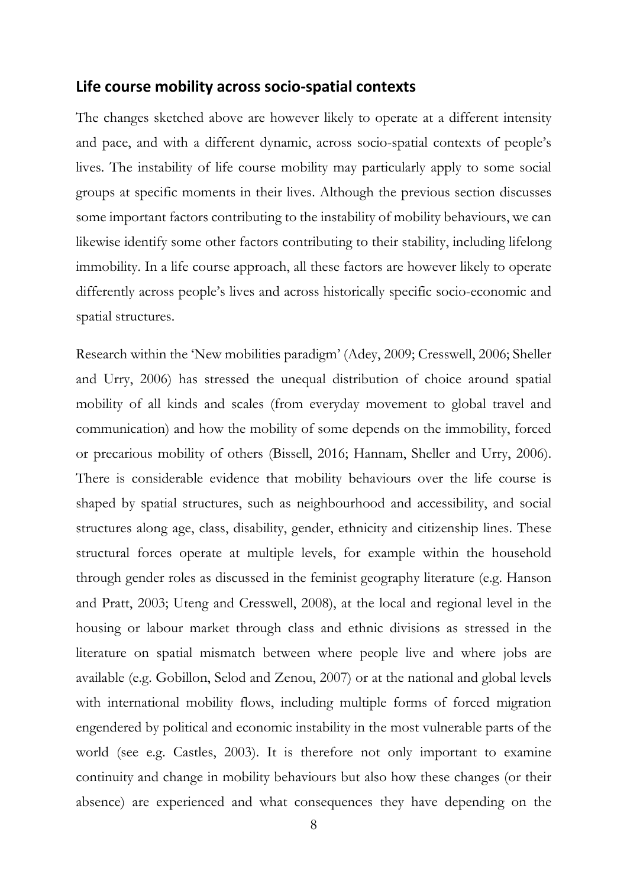### **Life course mobility across socio‐spatial contexts**

The changes sketched above are however likely to operate at a different intensity and pace, and with a different dynamic, across socio-spatial contexts of people's lives. The instability of life course mobility may particularly apply to some social groups at specific moments in their lives. Although the previous section discusses some important factors contributing to the instability of mobility behaviours, we can likewise identify some other factors contributing to their stability, including lifelong immobility. In a life course approach, all these factors are however likely to operate differently across people's lives and across historically specific socio-economic and spatial structures.

Research within the 'New mobilities paradigm' (Adey, 2009; Cresswell, 2006; Sheller and Urry, 2006) has stressed the unequal distribution of choice around spatial mobility of all kinds and scales (from everyday movement to global travel and communication) and how the mobility of some depends on the immobility, forced or precarious mobility of others (Bissell, 2016; Hannam, Sheller and Urry, 2006). There is considerable evidence that mobility behaviours over the life course is shaped by spatial structures, such as neighbourhood and accessibility, and social structures along age, class, disability, gender, ethnicity and citizenship lines. These structural forces operate at multiple levels, for example within the household through gender roles as discussed in the feminist geography literature (e.g. Hanson and Pratt, 2003; Uteng and Cresswell, 2008), at the local and regional level in the housing or labour market through class and ethnic divisions as stressed in the literature on spatial mismatch between where people live and where jobs are available (e.g. Gobillon, Selod and Zenou, 2007) or at the national and global levels with international mobility flows, including multiple forms of forced migration engendered by political and economic instability in the most vulnerable parts of the world (see e.g. Castles, 2003). It is therefore not only important to examine continuity and change in mobility behaviours but also how these changes (or their absence) are experienced and what consequences they have depending on the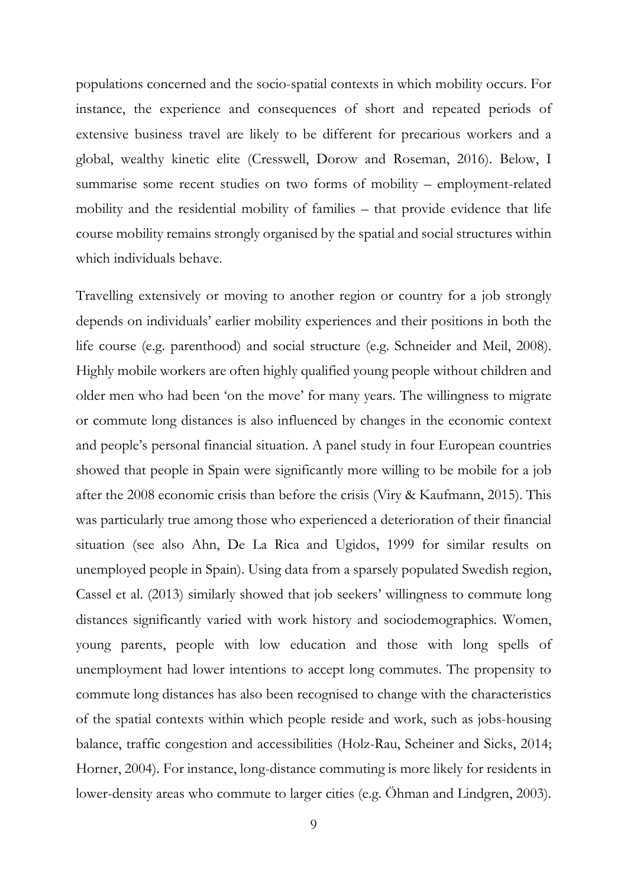populations concerned and the socio-spatial contexts in which mobility occurs. For instance, the experience and consequences of short and repeated periods of extensive business travel are likely to be different for precarious workers and a global, wealthy kinetic elite (Cresswell, Dorow and Roseman, 2016). Below, I summarise some recent studies on two forms of mobility – employment-related mobility and the residential mobility of families – that provide evidence that life course mobility remains strongly organised by the spatial and social structures within which individuals behave.

Travelling extensively or moving to another region or country for a job strongly depends on individuals' earlier mobility experiences and their positions in both the life course (e.g. parenthood) and social structure (e.g. Schneider and Meil, 2008). Highly mobile workers are often highly qualified young people without children and older men who had been 'on the move' for many years. The willingness to migrate or commute long distances is also influenced by changes in the economic context and people's personal financial situation. A panel study in four European countries showed that people in Spain were significantly more willing to be mobile for a job after the 2008 economic crisis than before the crisis (Viry & Kaufmann, 2015). This was particularly true among those who experienced a deterioration of their financial situation (see also Ahn, De La Rica and Ugidos, 1999 for similar results on unemployed people in Spain). Using data from a sparsely populated Swedish region, Cassel et al. (2013) similarly showed that job seekers' willingness to commute long distances significantly varied with work history and sociodemographics. Women, young parents, people with low education and those with long spells of unemployment had lower intentions to accept long commutes. The propensity to commute long distances has also been recognised to change with the characteristics of the spatial contexts within which people reside and work, such as jobs-housing balance, traffic congestion and accessibilities (Holz-Rau, Scheiner and Sicks, 2014; Horner, 2004). For instance, long-distance commuting is more likely for residents in lower-density areas who commute to larger cities (e.g. Öhman and Lindgren, 2003).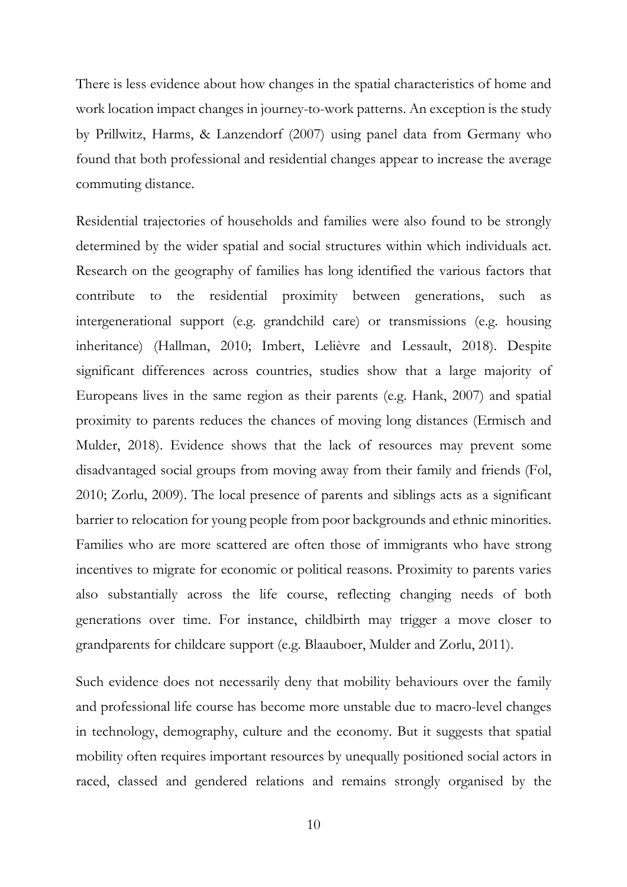There is less evidence about how changes in the spatial characteristics of home and work location impact changes in journey-to-work patterns. An exception is the study by Prillwitz, Harms, & Lanzendorf (2007) using panel data from Germany who found that both professional and residential changes appear to increase the average commuting distance.

Residential trajectories of households and families were also found to be strongly determined by the wider spatial and social structures within which individuals act. Research on the geography of families has long identified the various factors that contribute to the residential proximity between generations, such as intergenerational support (e.g. grandchild care) or transmissions (e.g. housing inheritance) (Hallman, 2010; Imbert, Lelièvre and Lessault, 2018). Despite significant differences across countries, studies show that a large majority of Europeans lives in the same region as their parents (e.g. Hank, 2007) and spatial proximity to parents reduces the chances of moving long distances (Ermisch and Mulder, 2018). Evidence shows that the lack of resources may prevent some disadvantaged social groups from moving away from their family and friends (Fol, 2010; Zorlu, 2009). The local presence of parents and siblings acts as a significant barrier to relocation for young people from poor backgrounds and ethnic minorities. Families who are more scattered are often those of immigrants who have strong incentives to migrate for economic or political reasons. Proximity to parents varies also substantially across the life course, reflecting changing needs of both generations over time. For instance, childbirth may trigger a move closer to grandparents for childcare support (e.g. Blaauboer, Mulder and Zorlu, 2011).

Such evidence does not necessarily deny that mobility behaviours over the family and professional life course has become more unstable due to macro-level changes in technology, demography, culture and the economy. But it suggests that spatial mobility often requires important resources by unequally positioned social actors in raced, classed and gendered relations and remains strongly organised by the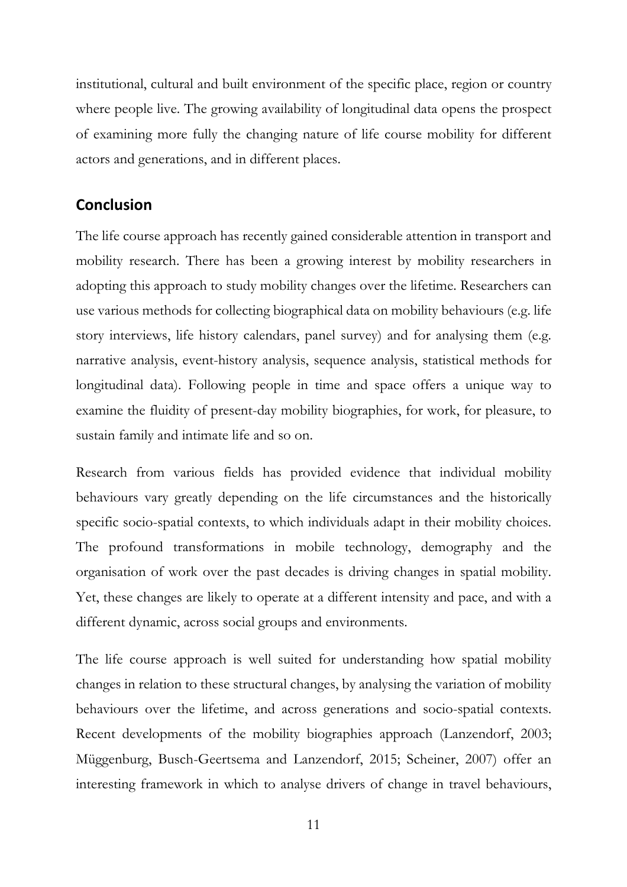institutional, cultural and built environment of the specific place, region or country where people live. The growing availability of longitudinal data opens the prospect of examining more fully the changing nature of life course mobility for different actors and generations, and in different places.

### **Conclusion**

The life course approach has recently gained considerable attention in transport and mobility research. There has been a growing interest by mobility researchers in adopting this approach to study mobility changes over the lifetime. Researchers can use various methods for collecting biographical data on mobility behaviours (e.g. life story interviews, life history calendars, panel survey) and for analysing them (e.g. narrative analysis, event-history analysis, sequence analysis, statistical methods for longitudinal data). Following people in time and space offers a unique way to examine the fluidity of present-day mobility biographies, for work, for pleasure, to sustain family and intimate life and so on.

Research from various fields has provided evidence that individual mobility behaviours vary greatly depending on the life circumstances and the historically specific socio-spatial contexts, to which individuals adapt in their mobility choices. The profound transformations in mobile technology, demography and the organisation of work over the past decades is driving changes in spatial mobility. Yet, these changes are likely to operate at a different intensity and pace, and with a different dynamic, across social groups and environments.

The life course approach is well suited for understanding how spatial mobility changes in relation to these structural changes, by analysing the variation of mobility behaviours over the lifetime, and across generations and socio-spatial contexts. Recent developments of the mobility biographies approach (Lanzendorf, 2003; Müggenburg, Busch-Geertsema and Lanzendorf, 2015; Scheiner, 2007) offer an interesting framework in which to analyse drivers of change in travel behaviours,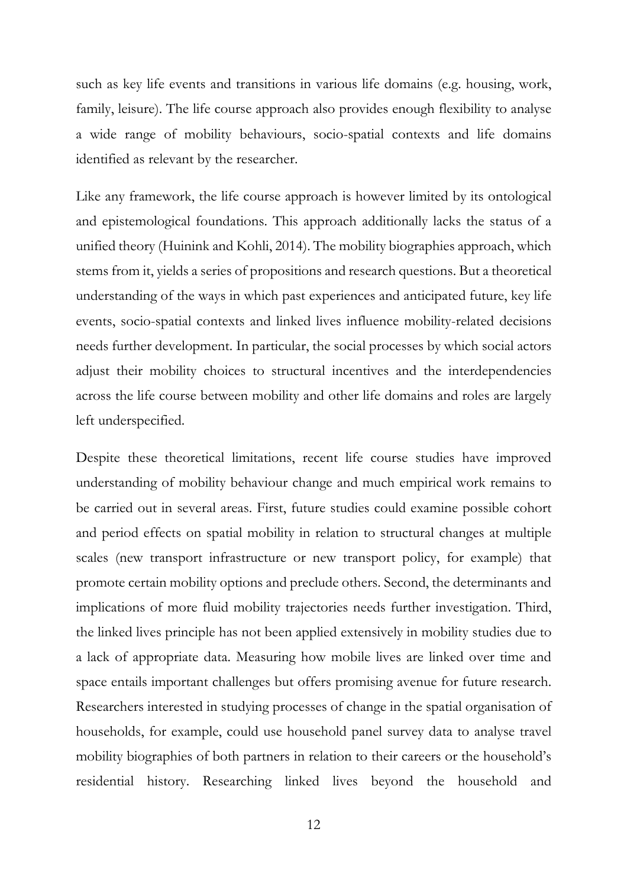such as key life events and transitions in various life domains (e.g. housing, work, family, leisure). The life course approach also provides enough flexibility to analyse a wide range of mobility behaviours, socio-spatial contexts and life domains identified as relevant by the researcher.

Like any framework, the life course approach is however limited by its ontological and epistemological foundations. This approach additionally lacks the status of a unified theory (Huinink and Kohli, 2014). The mobility biographies approach, which stems from it, yields a series of propositions and research questions. But a theoretical understanding of the ways in which past experiences and anticipated future, key life events, socio-spatial contexts and linked lives influence mobility-related decisions needs further development. In particular, the social processes by which social actors adjust their mobility choices to structural incentives and the interdependencies across the life course between mobility and other life domains and roles are largely left underspecified.

Despite these theoretical limitations, recent life course studies have improved understanding of mobility behaviour change and much empirical work remains to be carried out in several areas. First, future studies could examine possible cohort and period effects on spatial mobility in relation to structural changes at multiple scales (new transport infrastructure or new transport policy, for example) that promote certain mobility options and preclude others. Second, the determinants and implications of more fluid mobility trajectories needs further investigation. Third, the linked lives principle has not been applied extensively in mobility studies due to a lack of appropriate data. Measuring how mobile lives are linked over time and space entails important challenges but offers promising avenue for future research. Researchers interested in studying processes of change in the spatial organisation of households, for example, could use household panel survey data to analyse travel mobility biographies of both partners in relation to their careers or the household's residential history. Researching linked lives beyond the household and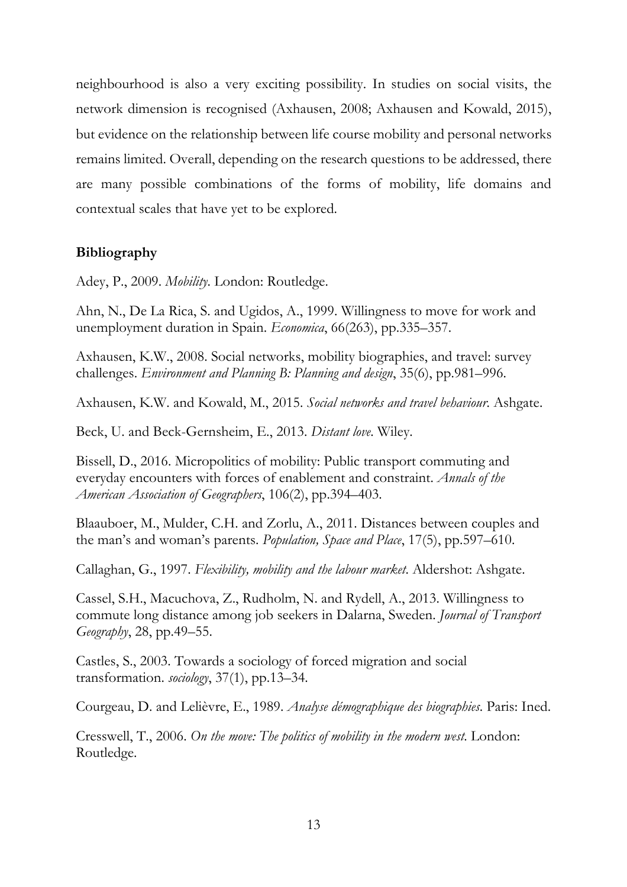neighbourhood is also a very exciting possibility. In studies on social visits, the network dimension is recognised (Axhausen, 2008; Axhausen and Kowald, 2015), but evidence on the relationship between life course mobility and personal networks remains limited. Overall, depending on the research questions to be addressed, there are many possible combinations of the forms of mobility, life domains and contextual scales that have yet to be explored.

### **Bibliography**

Adey, P., 2009. *Mobility*. London: Routledge.

Ahn, N., De La Rica, S. and Ugidos, A., 1999. Willingness to move for work and unemployment duration in Spain. *Economica*, 66(263), pp.335–357.

Axhausen, K.W., 2008. Social networks, mobility biographies, and travel: survey challenges. *Environment and Planning B: Planning and design*, 35(6), pp.981–996.

Axhausen, K.W. and Kowald, M., 2015. *Social networks and travel behaviour*. Ashgate.

Beck, U. and Beck-Gernsheim, E., 2013. *Distant love*. Wiley.

Bissell, D., 2016. Micropolitics of mobility: Public transport commuting and everyday encounters with forces of enablement and constraint. *Annals of the American Association of Geographers*, 106(2), pp.394–403.

Blaauboer, M., Mulder, C.H. and Zorlu, A., 2011. Distances between couples and the man's and woman's parents. *Population, Space and Place*, 17(5), pp.597–610.

Callaghan, G., 1997. *Flexibility, mobility and the labour market*. Aldershot: Ashgate.

Cassel, S.H., Macuchova, Z., Rudholm, N. and Rydell, A., 2013. Willingness to commute long distance among job seekers in Dalarna, Sweden. *Journal of Transport Geography*, 28, pp.49–55.

Castles, S., 2003. Towards a sociology of forced migration and social transformation. *sociology*, 37(1), pp.13–34.

Courgeau, D. and Lelièvre, E., 1989. *Analyse démographique des biographies*. Paris: Ined.

Cresswell, T., 2006. *On the move: The politics of mobility in the modern west*. London: Routledge.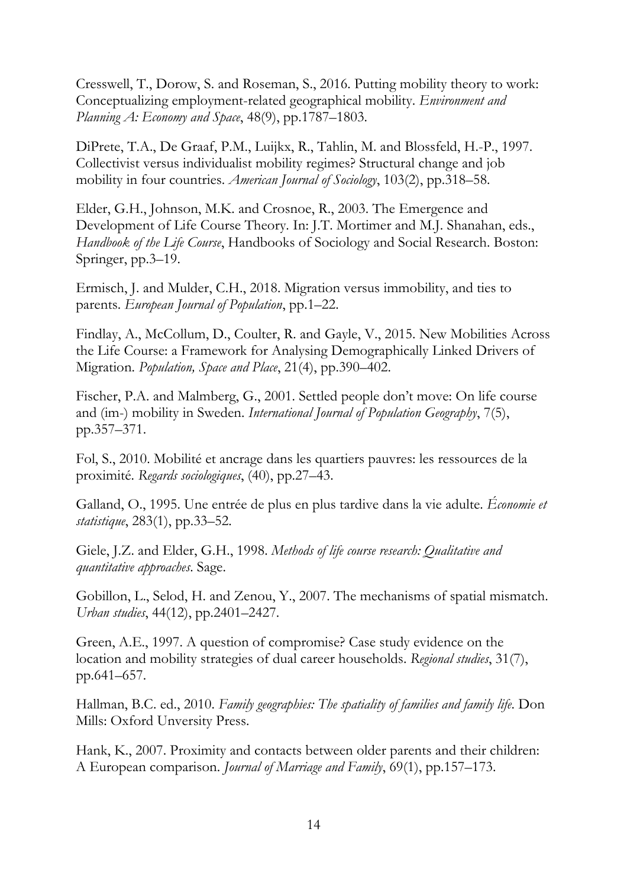Cresswell, T., Dorow, S. and Roseman, S., 2016. Putting mobility theory to work: Conceptualizing employment-related geographical mobility. *Environment and Planning A: Economy and Space*, 48(9), pp.1787–1803.

DiPrete, T.A., De Graaf, P.M., Luijkx, R., Tahlin, M. and Blossfeld, H.-P., 1997. Collectivist versus individualist mobility regimes? Structural change and job mobility in four countries. *American Journal of Sociology*, 103(2), pp.318–58.

Elder, G.H., Johnson, M.K. and Crosnoe, R., 2003. The Emergence and Development of Life Course Theory. In: J.T. Mortimer and M.J. Shanahan, eds., *Handbook of the Life Course*, Handbooks of Sociology and Social Research. Boston: Springer, pp.3–19.

Ermisch, J. and Mulder, C.H., 2018. Migration versus immobility, and ties to parents. *European Journal of Population*, pp.1–22.

Findlay, A., McCollum, D., Coulter, R. and Gayle, V., 2015. New Mobilities Across the Life Course: a Framework for Analysing Demographically Linked Drivers of Migration. *Population, Space and Place*, 21(4), pp.390–402.

Fischer, P.A. and Malmberg, G., 2001. Settled people don't move: On life course and (im-) mobility in Sweden. *International Journal of Population Geography*, 7(5), pp.357–371.

Fol, S., 2010. Mobilité et ancrage dans les quartiers pauvres: les ressources de la proximité. *Regards sociologiques*, (40), pp.27–43.

Galland, O., 1995. Une entrée de plus en plus tardive dans la vie adulte. *Économie et statistique*, 283(1), pp.33–52.

Giele, J.Z. and Elder, G.H., 1998. *Methods of life course research: Qualitative and quantitative approaches*. Sage.

Gobillon, L., Selod, H. and Zenou, Y., 2007. The mechanisms of spatial mismatch. *Urban studies*, 44(12), pp.2401–2427.

Green, A.E., 1997. A question of compromise? Case study evidence on the location and mobility strategies of dual career households. *Regional studies*, 31(7), pp.641–657.

Hallman, B.C. ed., 2010. *Family geographies: The spatiality of families and family life*. Don Mills: Oxford Unversity Press.

Hank, K., 2007. Proximity and contacts between older parents and their children: A European comparison. *Journal of Marriage and Family*, 69(1), pp.157–173.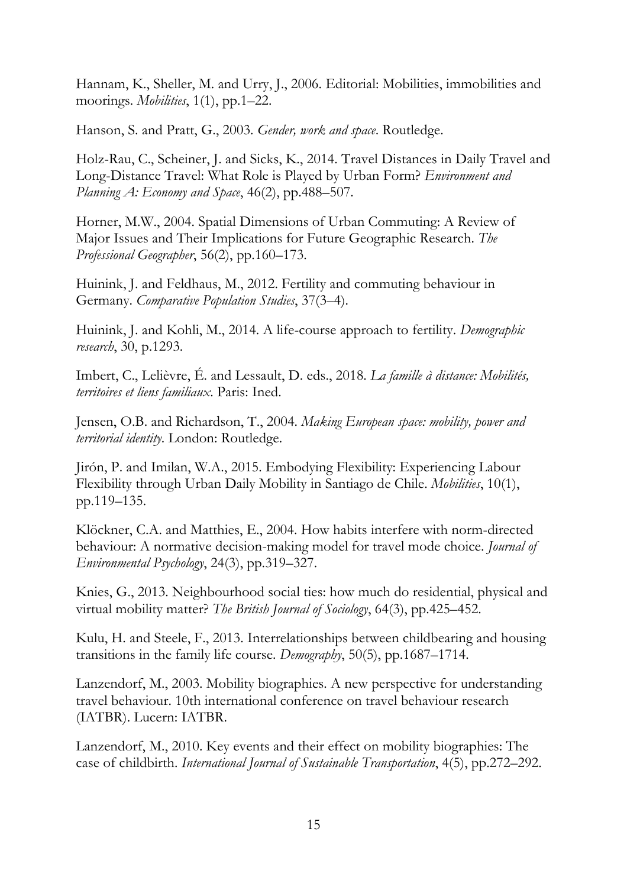Hannam, K., Sheller, M. and Urry, J., 2006. Editorial: Mobilities, immobilities and moorings. *Mobilities*, 1(1), pp.1–22.

Hanson, S. and Pratt, G., 2003. *Gender, work and space*. Routledge.

Holz-Rau, C., Scheiner, J. and Sicks, K., 2014. Travel Distances in Daily Travel and Long-Distance Travel: What Role is Played by Urban Form? *Environment and Planning A: Economy and Space*, 46(2), pp.488–507.

Horner, M.W., 2004. Spatial Dimensions of Urban Commuting: A Review of Major Issues and Their Implications for Future Geographic Research. *The Professional Geographer*, 56(2), pp.160–173.

Huinink, J. and Feldhaus, M., 2012. Fertility and commuting behaviour in Germany. *Comparative Population Studies*, 37(3–4).

Huinink, J. and Kohli, M., 2014. A life-course approach to fertility. *Demographic research*, 30, p.1293.

Imbert, C., Lelièvre, É. and Lessault, D. eds., 2018. *La famille à distance: Mobilités, territoires et liens familiaux*. Paris: Ined.

Jensen, O.B. and Richardson, T., 2004. *Making European space: mobility, power and territorial identity*. London: Routledge.

Jirón, P. and Imilan, W.A., 2015. Embodying Flexibility: Experiencing Labour Flexibility through Urban Daily Mobility in Santiago de Chile. *Mobilities*, 10(1), pp.119–135.

Klöckner, C.A. and Matthies, E., 2004. How habits interfere with norm-directed behaviour: A normative decision-making model for travel mode choice. *Journal of Environmental Psychology*, 24(3), pp.319–327.

Knies, G., 2013. Neighbourhood social ties: how much do residential, physical and virtual mobility matter? *The British Journal of Sociology*, 64(3), pp.425–452.

Kulu, H. and Steele, F., 2013. Interrelationships between childbearing and housing transitions in the family life course. *Demography*, 50(5), pp.1687–1714.

Lanzendorf, M., 2003. Mobility biographies. A new perspective for understanding travel behaviour. 10th international conference on travel behaviour research (IATBR). Lucern: IATBR.

Lanzendorf, M., 2010. Key events and their effect on mobility biographies: The case of childbirth. *International Journal of Sustainable Transportation*, 4(5), pp.272–292.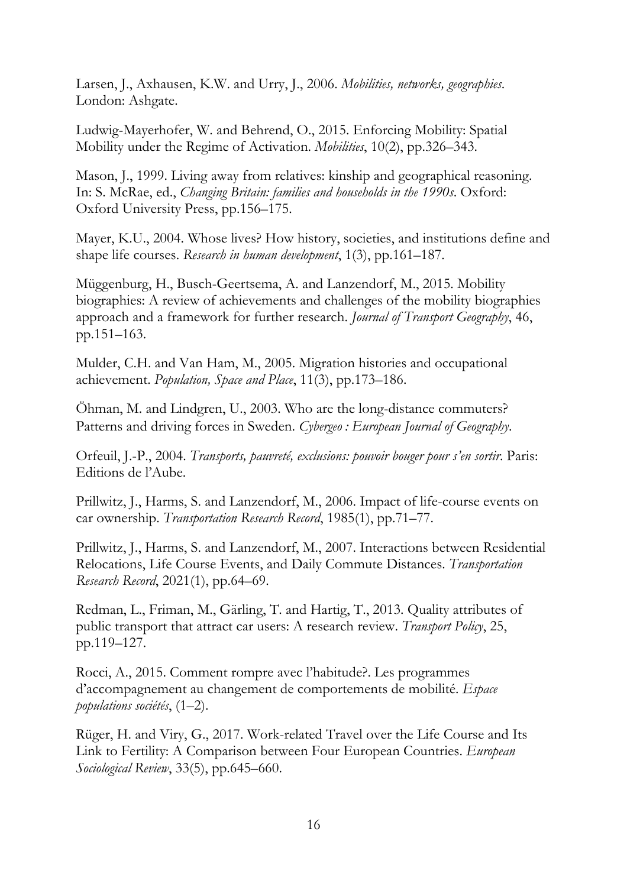Larsen, J., Axhausen, K.W. and Urry, J., 2006. *Mobilities, networks, geographies*. London: Ashgate.

Ludwig-Mayerhofer, W. and Behrend, O., 2015. Enforcing Mobility: Spatial Mobility under the Regime of Activation. *Mobilities*, 10(2), pp.326–343.

Mason, J., 1999. Living away from relatives: kinship and geographical reasoning. In: S. McRae, ed., *Changing Britain: families and households in the 1990s*. Oxford: Oxford University Press, pp.156–175.

Mayer, K.U., 2004. Whose lives? How history, societies, and institutions define and shape life courses. *Research in human development*, 1(3), pp.161–187.

Müggenburg, H., Busch-Geertsema, A. and Lanzendorf, M., 2015. Mobility biographies: A review of achievements and challenges of the mobility biographies approach and a framework for further research. *Journal of Transport Geography*, 46, pp.151–163.

Mulder, C.H. and Van Ham, M., 2005. Migration histories and occupational achievement. *Population, Space and Place*, 11(3), pp.173–186.

Öhman, M. and Lindgren, U., 2003. Who are the long-distance commuters? Patterns and driving forces in Sweden. *Cybergeo : European Journal of Geography*.

Orfeuil, J.-P., 2004. *Transports, pauvreté, exclusions: pouvoir bouger pour s'en sortir*. Paris: Editions de l'Aube.

Prillwitz, J., Harms, S. and Lanzendorf, M., 2006. Impact of life-course events on car ownership. *Transportation Research Record*, 1985(1), pp.71–77.

Prillwitz, J., Harms, S. and Lanzendorf, M., 2007. Interactions between Residential Relocations, Life Course Events, and Daily Commute Distances. *Transportation Research Record*, 2021(1), pp.64–69.

Redman, L., Friman, M., Gärling, T. and Hartig, T., 2013. Quality attributes of public transport that attract car users: A research review. *Transport Policy*, 25, pp.119–127.

Rocci, A., 2015. Comment rompre avec l'habitude?. Les programmes d'accompagnement au changement de comportements de mobilité. *Espace populations sociétés*, (1–2).

Rüger, H. and Viry, G., 2017. Work-related Travel over the Life Course and Its Link to Fertility: A Comparison between Four European Countries. *European Sociological Review*, 33(5), pp.645–660.